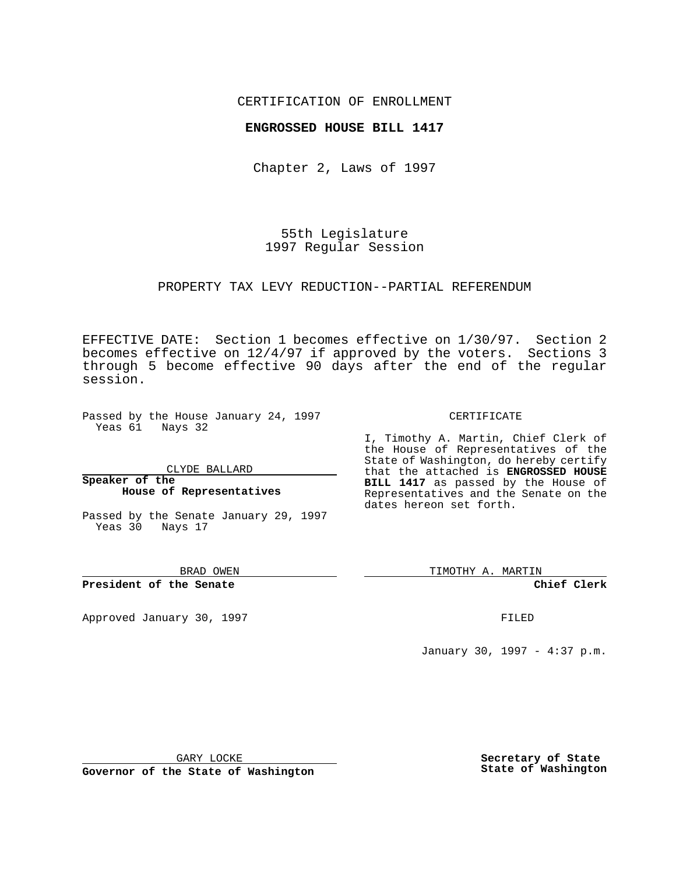## CERTIFICATION OF ENROLLMENT

## **ENGROSSED HOUSE BILL 1417**

Chapter 2, Laws of 1997

55th Legislature 1997 Regular Session

### PROPERTY TAX LEVY REDUCTION--PARTIAL REFERENDUM

EFFECTIVE DATE: Section 1 becomes effective on 1/30/97. Section 2 becomes effective on 12/4/97 if approved by the voters. Sections 3 through 5 become effective 90 days after the end of the regular session.

Passed by the House January 24, 1997 Yeas 61 Nays 32

CLYDE BALLARD

#### **Speaker of the House of Representatives**

Passed by the Senate January 29, 1997 Yeas 30 Nays 17

BRAD OWEN

**President of the Senate**

Approved January 30, 1997 FILED

CERTIFICATE

I, Timothy A. Martin, Chief Clerk of the House of Representatives of the State of Washington, do hereby certify that the attached is **ENGROSSED HOUSE BILL 1417** as passed by the House of Representatives and the Senate on the dates hereon set forth.

TIMOTHY A. MARTIN

**Chief Clerk**

January 30, 1997 - 4:37 p.m.

GARY LOCKE

**Governor of the State of Washington**

**Secretary of State State of Washington**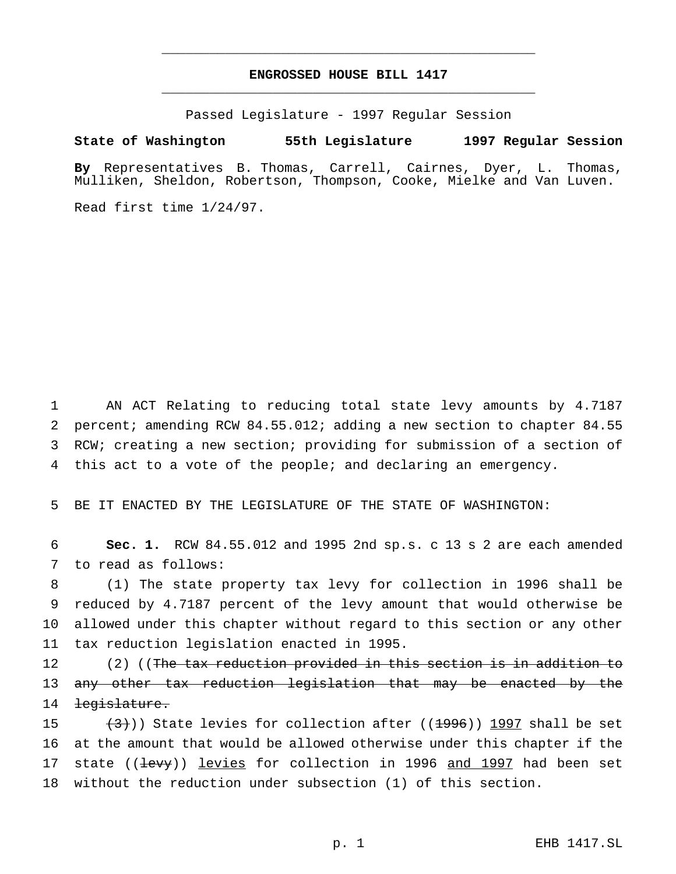# **ENGROSSED HOUSE BILL 1417** \_\_\_\_\_\_\_\_\_\_\_\_\_\_\_\_\_\_\_\_\_\_\_\_\_\_\_\_\_\_\_\_\_\_\_\_\_\_\_\_\_\_\_\_\_\_\_

\_\_\_\_\_\_\_\_\_\_\_\_\_\_\_\_\_\_\_\_\_\_\_\_\_\_\_\_\_\_\_\_\_\_\_\_\_\_\_\_\_\_\_\_\_\_\_

Passed Legislature - 1997 Regular Session

#### **State of Washington 55th Legislature 1997 Regular Session**

**By** Representatives B. Thomas, Carrell, Cairnes, Dyer, L. Thomas, Mulliken, Sheldon, Robertson, Thompson, Cooke, Mielke and Van Luven.

Read first time 1/24/97.

 AN ACT Relating to reducing total state levy amounts by 4.7187 percent; amending RCW 84.55.012; adding a new section to chapter 84.55 RCW; creating a new section; providing for submission of a section of this act to a vote of the people; and declaring an emergency.

5 BE IT ENACTED BY THE LEGISLATURE OF THE STATE OF WASHINGTON:

6 **Sec. 1.** RCW 84.55.012 and 1995 2nd sp.s. c 13 s 2 are each amended 7 to read as follows:

 (1) The state property tax levy for collection in 1996 shall be reduced by 4.7187 percent of the levy amount that would otherwise be allowed under this chapter without regard to this section or any other tax reduction legislation enacted in 1995.

12 (2) ((The tax reduction provided in this section is in addition to 13 any other tax reduction legislation that may be enacted by the 14 legislature.

 $(3)$ ) State levies for collection after ((1996)) 1997 shall be set at the amount that would be allowed otherwise under this chapter if the 17 state ((<del>levy</del>)) levies for collection in 1996 and 1997 had been set without the reduction under subsection (1) of this section.